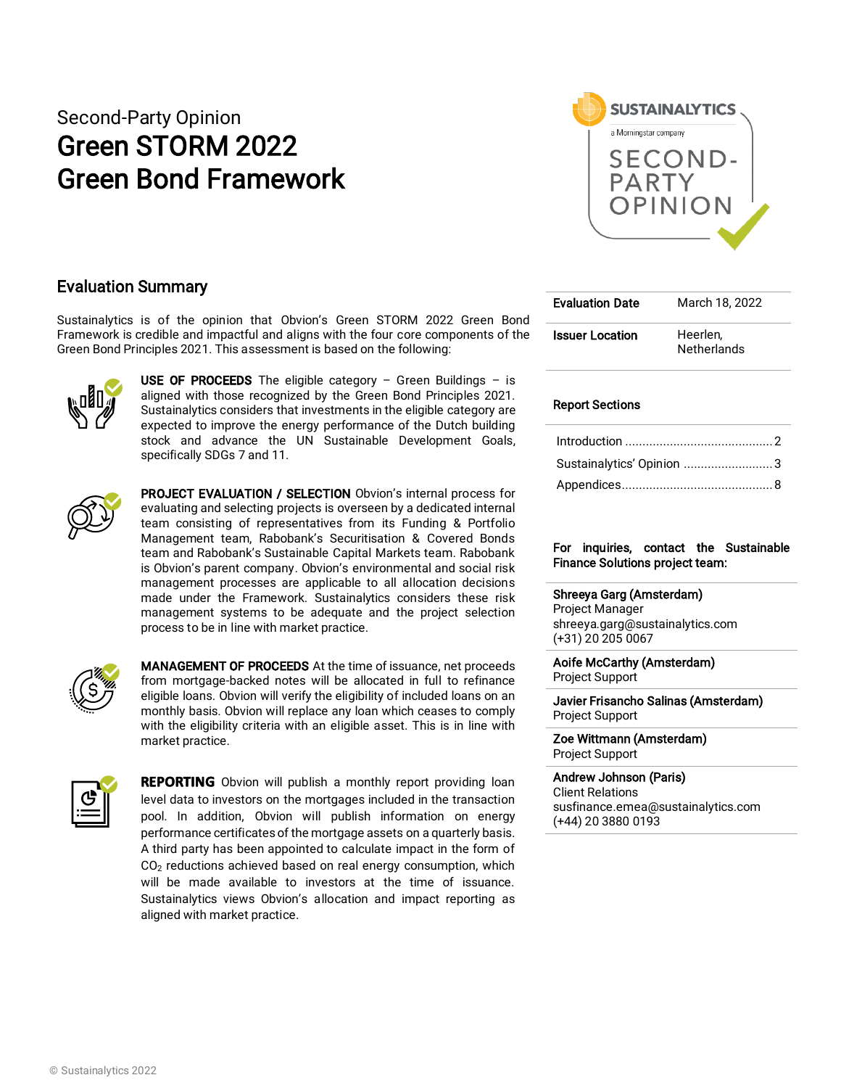# Second-Party Opinion Green STORM 2022 Green Bond Framework



### Evaluation Summary

Sustainalytics is of the opinion that Obvion's Green STORM 2022 Green Bond Framework is credible and impactful and aligns with the four core components of the Green Bond Principles 2021. This assessment is based on the following:



**USE OF PROCEEDS** The eligible category – Green Buildings – is aligned with those recognized by the Green Bond Principles 2021. Sustainalytics considers that investments in the eligible category are expected to improve the energy performance of the Dutch building stock and advance the UN Sustainable Development Goals, specifically SDGs 7 and 11.



PROJECT EVALUATION / SELECTION Obvion's internal process for evaluating and selecting projects is overseen by a dedicated internal team consisting of representatives from its Funding & Portfolio Management team, Rabobank's Securitisation & Covered Bonds team and Rabobank's Sustainable Capital Markets team. Rabobank is Obvion's parent company. Obvion's environmental and social risk management processes are applicable to all allocation decisions made under the Framework. Sustainalytics considers these risk management systems to be adequate and the project selection process to be in line with market practice.



MANAGEMENT OF PROCEEDS At the time of issuance, net proceeds from mortgage-backed notes will be allocated in full to refinance eligible loans. Obvion will verify the eligibility of included loans on an monthly basis. Obvion will replace any loan which ceases to comply with the eligibility criteria with an eligible asset. This is in line with market practice.



**REPORTING** Obvion will publish a monthly report providing loan level data to investors on the mortgages included in the transaction pool. In addition, Obvion will publish information on energy performance certificates of the mortgage assets on a quarterly basis. A third party has been appointed to calculate impact in the form of  $CO<sub>2</sub>$  reductions achieved based on real energy consumption, which will be made available to investors at the time of issuance. Sustainalytics views Obvion's allocation and impact reporting as aligned with market practice.

| <b>Evaluation Date</b> | March 18, 2022                 |
|------------------------|--------------------------------|
| <b>Issuer Location</b> | Heerlen.<br><b>Netherlands</b> |

### Report Sections

| Sustainalytics' Opinion 3 |  |
|---------------------------|--|
|                           |  |

### For inquiries, contact the Sustainable Finance Solutions project team:

#### Shreeya Garg (Amsterdam)

Project Manager shreeya.garg@sustainalytics.com (+31) 20 205 0067

Aoife McCarthy (Amsterdam) Project Support

Javier Frisancho Salinas (Amsterdam) Project Support

Zoe Wittmann (Amsterdam) Project Support

Andrew Johnson (Paris) Client Relations susfinance.emea@sustainalytics.com (+44) 20 3880 0193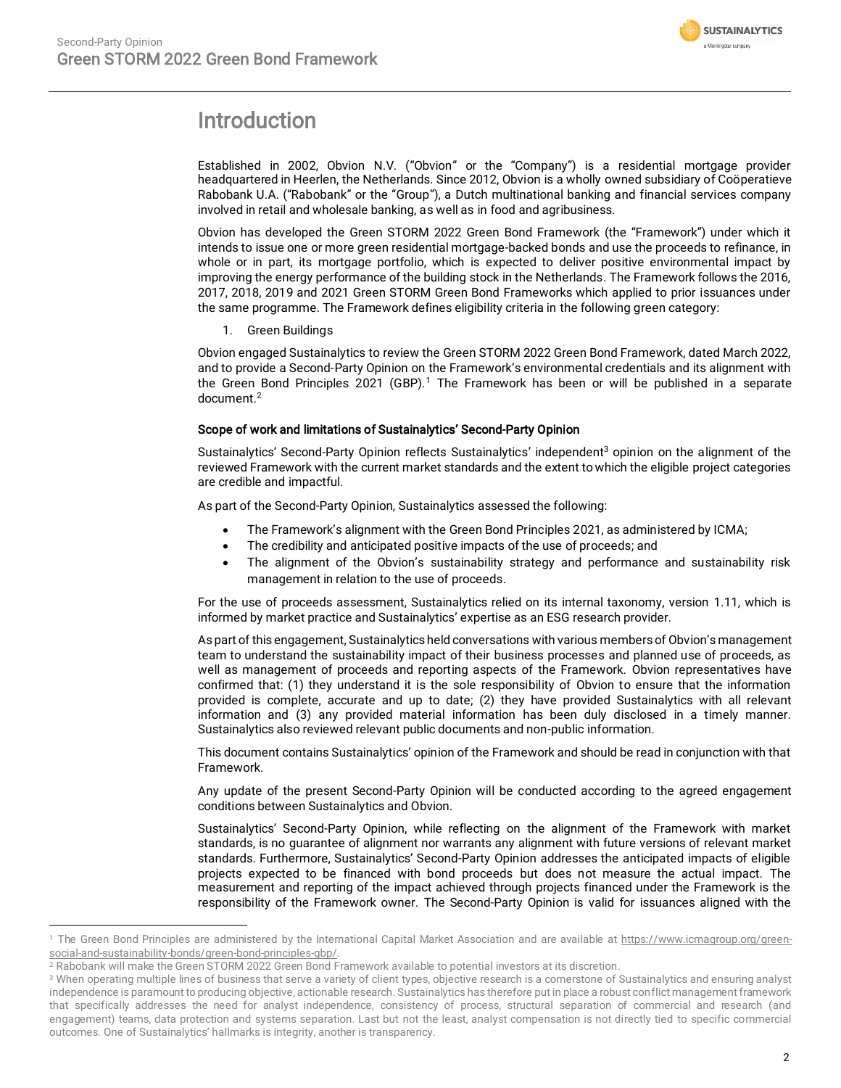

## <span id="page-1-0"></span>Introduction

Established in 2002, Obvion N.V. ("Obvion" or the "Company") is a residential mortgage provider headquartered in Heerlen, the Netherlands. Since 2012, Obvion is a wholly owned subsidiary of Coöperatieve Rabobank U.A. ("Rabobank" or the "Group"), a Dutch multinational banking and financial services company involved in retail and wholesale banking, as well as in food and agribusiness.

Obvion has developed the Green STORM 2022 Green Bond Framework (the "Framework") under which it intends to issue one or more green residential mortgage-backed bonds and use the proceeds to refinance, in whole or in part, its mortgage portfolio, which is expected to deliver positive environmental impact by improving the energy performance of the building stock in the Netherlands. The Framework follows the 2016, 2017, 2018, 2019 and 2021 Green STORM Green Bond Frameworks which applied to prior issuances under the same programme. The Framework defines eligibility criteria in the following green category:

1. Green Buildings

Obvion engaged Sustainalytics to review the Green STORM 2022 Green Bond Framework, dated March 2022, and to provide a Second-Party Opinion on the Framework's environmental credentials and its alignment with the Green Bond Principles 2021 (GBP). <sup>1</sup> The Framework has been or will be published in a separate document. 2

### Scope of work and limitations of Sustainalytics' Second-Party Opinion

Sustainalytics' Second-Party Opinion reflects Sustainalytics' independent<sup>3</sup> opinion on the alignment of the reviewed Framework with the current market standards and the extent to which the eligible project categories are credible and impactful.

As part of the Second-Party Opinion, Sustainalytics assessed the following:

- The Framework's alignment with the Green Bond Principles 2021, as administered by ICMA;
- The credibility and anticipated positive impacts of the use of proceeds; and
- The alignment of the Obvion's sustainability strategy and performance and sustainability risk management in relation to the use of proceeds.

For the use of proceeds assessment, Sustainalytics relied on its internal taxonomy, version 1.11, which is informed by market practice and Sustainalytics' expertise as an ESG research provider.

As part of this engagement, Sustainalytics held conversations with various members of Obvion's management team to understand the sustainability impact of their business processes and planned use of proceeds, as well as management of proceeds and reporting aspects of the Framework. Obvion representatives have confirmed that: (1) they understand it is the sole responsibility of Obvion to ensure that the information provided is complete, accurate and up to date; (2) they have provided Sustainalytics with all relevant information and (3) any provided material information has been duly disclosed in a timely manner. Sustainalytics also reviewed relevant public documents and non-public information.

This document contains Sustainalytics' opinion of the Framework and should be read in conjunction with that Framework.

Any update of the present Second-Party Opinion will be conducted according to the agreed engagement conditions between Sustainalytics and Obvion.

Sustainalytics' Second-Party Opinion, while reflecting on the alignment of the Framework with market standards, is no guarantee of alignment nor warrants any alignment with future versions of relevant market standards. Furthermore, Sustainalytics' Second-Party Opinion addresses the anticipated impacts of eligible projects expected to be financed with bond proceeds but does not measure the actual impact. The measurement and reporting of the impact achieved through projects financed under the Framework is the responsibility of the Framework owner. The Second-Party Opinion is valid for issuances aligned with the

<sup>&</sup>lt;sup>1</sup> The Green Bond Principles are administered by the International Capital Market Association and are available a[t https://www.icmagroup.org/green](https://www.icmagroup.org/green-social-and-sustainability-bonds/green-bond-principles-gbp/)[social-and-sustainability-bonds/green-bond-principles-gbp/.](https://www.icmagroup.org/green-social-and-sustainability-bonds/green-bond-principles-gbp/)

<sup>&</sup>lt;sup>2</sup> Rabobank will make the Green STORM 2022 Green Bond Framework available to potential investors at its discretion.

<sup>&</sup>lt;sup>3</sup> When operating multiple lines of business that serve a variety of client types, objective research is a cornerstone of Sustainalytics and ensuring analyst independence is paramount to producing objective, actionable research. Sustainalytics has therefore put in place a robust conflict management framework that specifically addresses the need for analyst independence, consistency of process, structural separation of commercial and research (and engagement) teams, data protection and systems separation. Last but not the least, analyst compensation is not directly tied to specific commercial outcomes. One of Sustainalytics' hallmarks is integrity, another is transparency.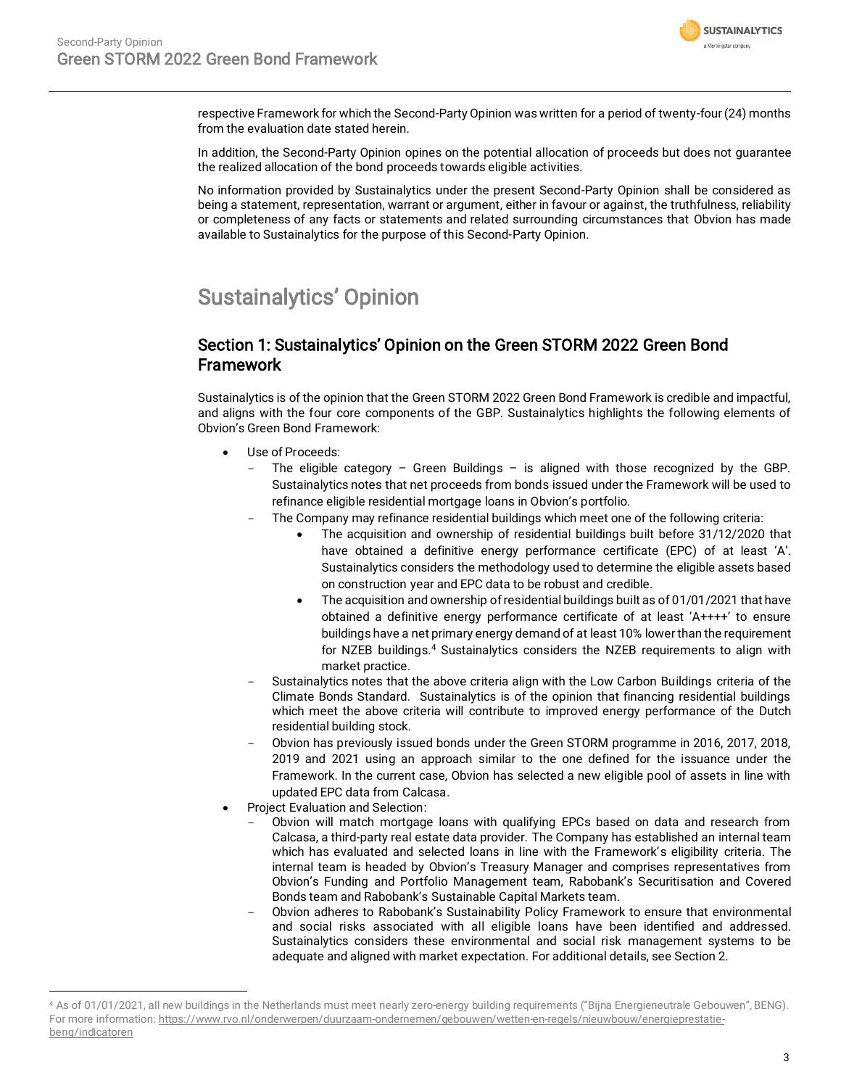

respective Framework for which the Second-Party Opinion was written for a period of twenty-four (24) months from the evaluation date stated herein.

In addition, the Second-Party Opinion opines on the potential allocation of proceeds but does not guarantee the realized allocation of the bond proceeds towards eligible activities.

No information provided by Sustainalytics under the present Second-Party Opinion shall be considered as being a statement, representation, warrant or argument, either in favour or against, the truthfulness, reliability or completeness of any facts or statements and related surrounding circumstances that Obvion has made available to Sustainalytics for the purpose of this Second-Party Opinion.

# <span id="page-2-0"></span>Sustainalytics' Opinion

### Section 1: Sustainalytics' Opinion on the Green STORM 2022 Green Bond **Framework**

Sustainalytics is of the opinion that the Green STORM 2022 Green Bond Framework is credible and impactful, and aligns with the four core components of the GBP. Sustainalytics highlights the following elements of Obvion's Green Bond Framework:

- Use of Proceeds:
	- The eligible category Green Buildings is aligned with those recognized by the GBP. Sustainalytics notes that net proceeds from bonds issued under the Framework will be used to refinance eligible residential mortgage loans in Obvion's portfolio.
		- The Company may refinance residential buildings which meet one of the following criteria:
			- The acquisition and ownership of residential buildings built before 31/12/2020 that have obtained a definitive energy performance certificate (EPC) of at least 'A'. Sustainalytics considers the methodology used to determine the eligible assets based on construction year and EPC data to be robust and credible.
			- The acquisition and ownership of residential buildings built as of 01/01/2021 that have obtained a definitive energy performance certificate of at least 'A++++' to ensure buildings have a net primary energy demand of at least 10% lower than the requirement for NZEB buildings.<sup>4</sup> Sustainalytics considers the NZEB requirements to align with market practice.
	- Sustainalytics notes that the above criteria align with the Low Carbon Buildings criteria of the Climate Bonds Standard. Sustainalytics is of the opinion that financing residential buildings which meet the above criteria will contribute to improved energy performance of the Dutch residential building stock.
	- Obvion has previously issued bonds under the Green STORM programme in 2016, 2017, 2018, 2019 and 2021 using an approach similar to the one defined for the issuance under the Framework. In the current case, Obvion has selected a new eligible pool of assets in line with updated EPC data from Calcasa.
- Project Evaluation and Selection:
	- Obvion will match mortgage loans with qualifying EPCs based on data and research from Calcasa, a third-party real estate data provider. The Company has established an internal team which has evaluated and selected loans in line with the Framework's eligibility criteria. The internal team is headed by Obvion's Treasury Manager and comprises representatives from Obvion's Funding and Portfolio Management team, Rabobank's Securitisation and Covered Bonds team and Rabobank's Sustainable Capital Markets team.
	- Obvion adheres to Rabobank's Sustainability Policy Framework to ensure that environmental and social risks associated with all eligible loans have been identified and addressed. Sustainalytics considers these environmental and social risk management systems to be adequate and aligned with market expectation. For additional details, see Section 2.

<sup>4</sup> As of 01/01/2021, all new buildings in the Netherlands must meet nearly zero-energy building requirements ("Bijna Energieneutrale Gebouwen", BENG). For more information[: https://www.rvo.nl/onderwerpen/duurzaam-ondernemen/gebouwen/wetten-en-regels/nieuwbouw/energieprestatie](https://www.rvo.nl/onderwerpen/duurzaam-ondernemen/gebouwen/wetten-en-regels/nieuwbouw/energieprestatie-beng/indicatoren)[beng/indicatoren](https://www.rvo.nl/onderwerpen/duurzaam-ondernemen/gebouwen/wetten-en-regels/nieuwbouw/energieprestatie-beng/indicatoren)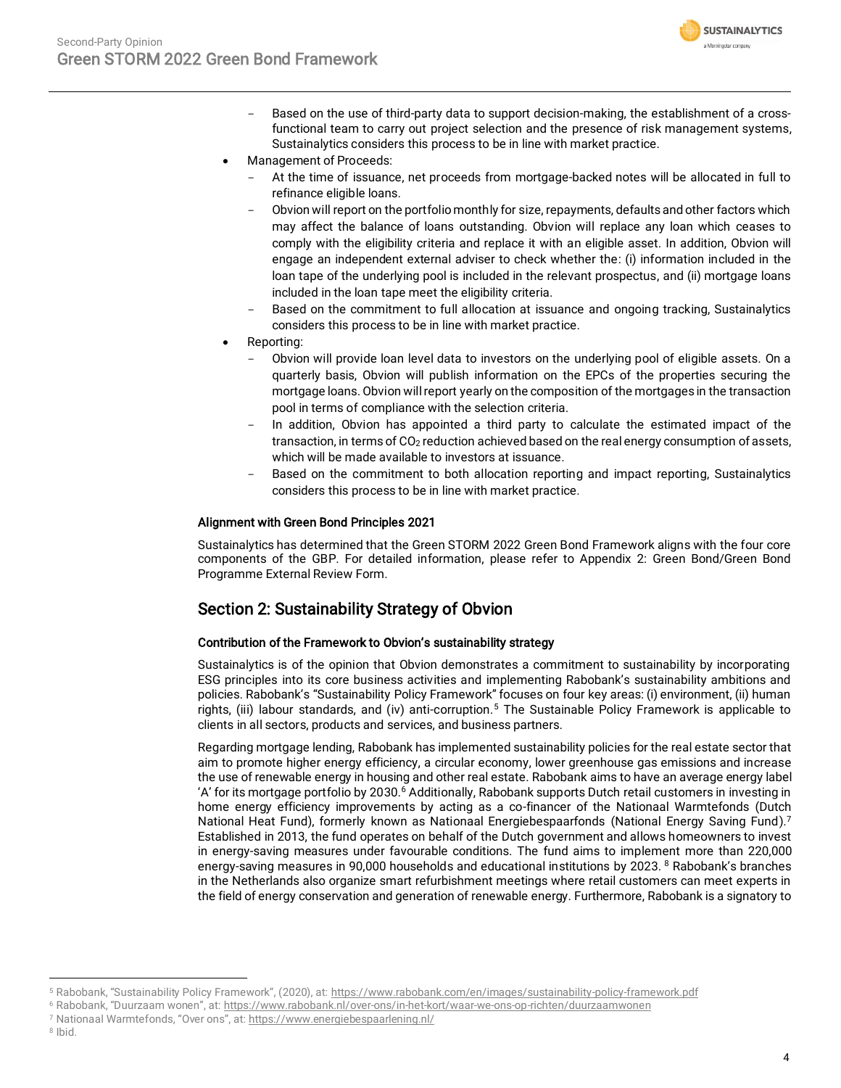

- Based on the use of third-party data to support decision-making, the establishment of a crossfunctional team to carry out project selection and the presence of risk management systems, Sustainalytics considers this process to be in line with market practice.
- Management of Proceeds:
	- At the time of issuance, net proceeds from mortgage-backed notes will be allocated in full to refinance eligible loans.
	- Obvion will report on the portfolio monthly for size, repayments, defaults and other factors which may affect the balance of loans outstanding. Obvion will replace any loan which ceases to comply with the eligibility criteria and replace it with an eligible asset. In addition, Obvion will engage an independent external adviser to check whether the: (i) information included in the loan tape of the underlying pool is included in the relevant prospectus, and (ii) mortgage loans included in the loan tape meet the eligibility criteria.
	- Based on the commitment to full allocation at issuance and ongoing tracking, Sustainalytics considers this process to be in line with market practice.
- Reporting:
	- Obvion will provide loan level data to investors on the underlying pool of eligible assets. On a quarterly basis, Obvion will publish information on the EPCs of the properties securing the mortgage loans. Obvion will report yearly on the composition of the mortgages in the transaction pool in terms of compliance with the selection criteria.
	- In addition, Obvion has appointed a third party to calculate the estimated impact of the transaction, in terms of CO<sub>2</sub> reduction achieved based on the real energy consumption of assets, which will be made available to investors at issuance.
	- Based on the commitment to both allocation reporting and impact reporting, Sustainalytics considers this process to be in line with market practice.

### Alignment with Green Bond Principles 2021

Sustainalytics has determined that the Green STORM 2022 Green Bond Framework aligns with the four core components of the GBP. For detailed information, please refer to Appendix 2: Green Bond/Green Bond Programme External Review Form.

### Section 2: Sustainability Strategy of Obvion

### Contribution of the Framework to Obvion's sustainability strategy

Sustainalytics is of the opinion that Obvion demonstrates a commitment to sustainability by incorporating ESG principles into its core business activities and implementing Rabobank's sustainability ambitions and policies. Rabobank's "Sustainability Policy Framework" focuses on four key areas: (i) environment, (ii) human rights, (iii) labour standards, and (iv) anti-corruption.<sup>5</sup> The Sustainable Policy Framework is applicable to clients in all sectors, products and services, and business partners.

Regarding mortgage lending, Rabobank has implemented sustainability policies for the real estate sector that aim to promote higher energy efficiency, a circular economy, lower greenhouse gas emissions and increase the use of renewable energy in housing and other real estate. Rabobank aims to have an average energy label 'A' for its mortgage portfolio by 2030.<sup>6</sup> Additionally, Rabobank supports Dutch retail customers in investing in home energy efficiency improvements by acting as a co-financer of the Nationaal Warmtefonds (Dutch National Heat Fund), formerly known as Nationaal Energiebespaarfonds (National Energy Saving Fund).<sup>7</sup> Established in 2013, the fund operates on behalf of the Dutch government and allows homeowners to invest in energy-saving measures under favourable conditions. The fund aims to implement more than 220,000 energy-saving measures in 90,000 households and educational institutions by 2023. <sup>8</sup> Rabobank's branches in the Netherlands also organize smart refurbishment meetings where retail customers can meet experts in the field of energy conservation and generation of renewable energy. Furthermore, Rabobank is a signatory to

<sup>5</sup> Rabobank, "Sustainability Policy Framework", (2020), at: https://www.rabobank.com/en/images/sustainability-policy-framework.pdf

<sup>6</sup> Rabobank, "Duurzaam wonen", at: https://www.rabobank.nl/over-ons/in-het-kort/waar-we-ons-op-richten/duurzaamwonen

<sup>7</sup> Nationaal Warmtefonds, "Over ons", at: https://www.energiebespaarlening.nl/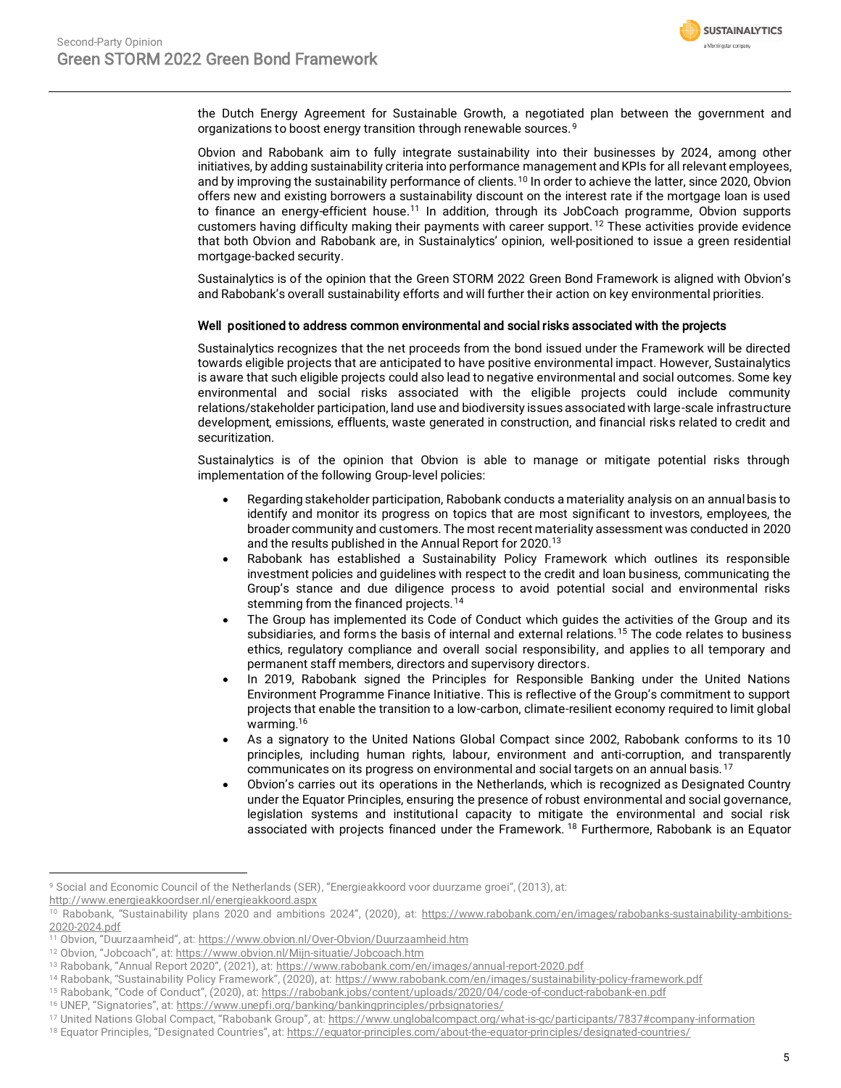

the Dutch Energy Agreement for Sustainable Growth, a negotiated plan between the government and organizations to boost energy transition through renewable sources.<sup>9</sup>

Obvion and Rabobank aim to fully integrate sustainability into their businesses by 2024, among other initiatives, by adding sustainability criteria into performance management and KPIs for all relevant employees, and by improving the sustainability performance of clients.<sup>10</sup> In order to achieve the latter, since 2020, Obvion offers new and existing borrowers a sustainability discount on the interest rate if the mortgage loan is used to finance an energy-efficient house.<sup>11</sup> In addition, through its JobCoach programme, Obvion supports customers having difficulty making their payments with career support. <sup>12</sup> These activities provide evidence that both Obvion and Rabobank are, in Sustainalytics' opinion, well-positioned to issue a green residential mortgage-backed security.

Sustainalytics is of the opinion that the Green STORM 2022 Green Bond Framework is aligned with Obvion's and Rabobank's overall sustainability efforts and will further their action on key environmental priorities.

### Well positioned to address common environmental and social risks associated with the projects

Sustainalytics recognizes that the net proceeds from the bond issued under the Framework will be directed towards eligible projects that are anticipated to have positive environmental impact. However, Sustainalytics is aware that such eligible projects could also lead to negative environmental and social outcomes. Some key environmental and social risks associated with the eligible projects could include community relations/stakeholder participation, land use and biodiversity issues associated with large-scale infrastructure development, emissions, effluents, waste generated in construction, and financial risks related to credit and securitization.

Sustainalytics is of the opinion that Obvion is able to manage or mitigate potential risks through implementation of the following Group-level policies:

- Regarding stakeholder participation, Rabobank conducts a materiality analysis on an annual basis to identify and monitor its progress on topics that are most significant to investors, employees, the broader community and customers. The most recent materiality assessment was conducted in 2020 and the results published in the Annual Report for 2020.<sup>13</sup>
- Rabobank has established a Sustainability Policy Framework which outlines its responsible investment policies and guidelines with respect to the credit and loan business, communicating the Group's stance and due diligence process to avoid potential social and environmental risks stemming from the financed projects.<sup>14</sup>
- The Group has implemented its Code of Conduct which guides the activities of the Group and its subsidiaries, and forms the basis of internal and external relations.<sup>15</sup> The code relates to business ethics, regulatory compliance and overall social responsibility, and applies to all temporary and permanent staff members, directors and supervisory directors.
- In 2019, Rabobank signed the Principles for Responsible Banking under the United Nations Environment Programme Finance Initiative. This is reflective of the Group's commitment to support projects that enable the transition to a low-carbon, climate-resilient economy required to limit global warming.<sup>16</sup>
- As a signatory to the United Nations Global Compact since 2002, Rabobank conforms to its 10 principles, including human rights, labour, environment and anti-corruption, and transparently communicates on its progress on environmental and social targets on an annual basis. <sup>17</sup>
- Obvion's carries out its operations in the Netherlands, which is recognized as Designated Country under the Equator Principles, ensuring the presence of robust environmental and social governance, legislation systems and institutional capacity to mitigate the environmental and social risk associated with projects financed under the Framework. <sup>18</sup> Furthermore, Rabobank is an Equator

<http://www.energieakkoordser.nl/energieakkoord.aspx>

<sup>9</sup> Social and Economic Council of the Netherlands (SER), "Energieakkoord voor duurzame groei", (2013), at:

<sup>&</sup>lt;sup>10</sup> Rabobank, "Sustainability plans 2020 and ambitions 2024", (2020), at: https://www.rabobank.com/en/images/rabobanks-sustainability-ambitions-2020-2024.pdf

<sup>11</sup> Obvion, "Duurzaamheid", at: <https://www.obvion.nl/Over-Obvion/Duurzaamheid.htm>

<sup>12</sup> Obvion, "Jobcoach", at: https://www.obvion.nl/Mijn-situatie/Jobcoach.htm

<sup>13</sup> Rabobank, "Annual Report 2020", (2021), at: https://www.rabobank.com/en/images/annual-report-2020.pdf

<sup>&</sup>lt;sup>14</sup> Rabobank, "Sustainability Policy Framework", (2020), at: https://www.rabobank.com/en/images/sustainability-policy-framework.pdf

<sup>&</sup>lt;sup>15</sup> Rabobank, "Code of Conduct", (2020), at: https://rabobank.jobs/content/uploads/2020/04/code-of-conduct-rabobank-en.pdf

<sup>&</sup>lt;sup>16</sup> UNEP, "Signatories", at: https://www.unepfi.org/banking/bankingprinciples/prbsignatories/

<sup>&</sup>lt;sup>17</sup> United Nations Global Compact, "Rabobank Group", at: <https://www.unglobalcompact.org/what-is-gc/participants/7837#company-information>

<sup>18</sup> Equator Principles, "Designated Countries", at: <https://equator-principles.com/about-the-equator-principles/designated-countries/>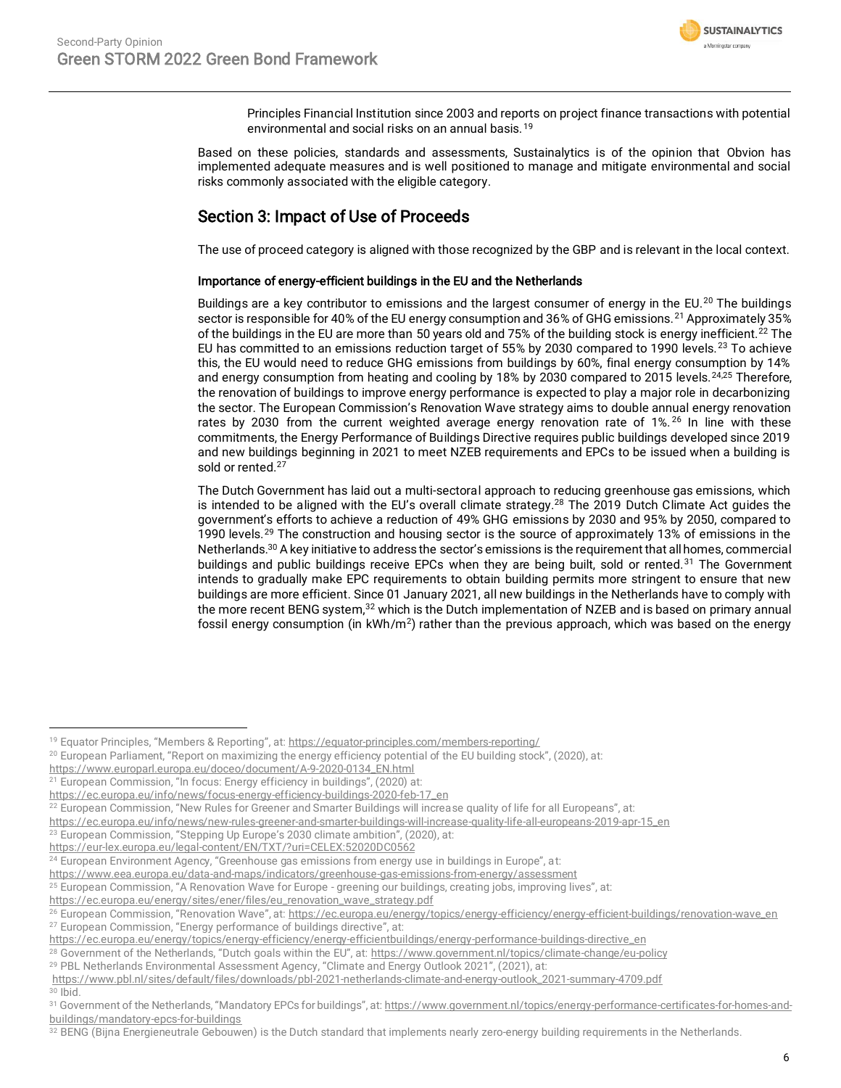

Principles Financial Institution since 2003 and reports on project finance transactions with potential environmental and social risks on an annual basis. <sup>19</sup>

Based on these policies, standards and assessments, Sustainalytics is of the opinion that Obvion has implemented adequate measures and is well positioned to manage and mitigate environmental and social risks commonly associated with the eligible category.

## Section 3: Impact of Use of Proceeds

The use of proceed category is aligned with those recognized by the GBP and is relevant in the local context.

### Importance of energy-efficient buildings in the EU and the Netherlands

Buildings are a key contributor to emissions and the largest consumer of energy in the EU.<sup>20</sup> The buildings sector is responsible for 40% of the EU energy consumption and 36% of GHG emissions.<sup>21</sup> Approximately 35% of the buildings in the EU are more than 50 years old and 75% of the building stock is energy inefficient.<sup>22</sup> The EU has committed to an emissions reduction target of 55% by 2030 compared to 1990 levels.<sup>23</sup> To achieve this, the EU would need to reduce GHG emissions from buildings by 60%, final energy consumption by 14% and energy consumption from heating and cooling by 18% by 2030 compared to 2015 levels.<sup>24,25</sup> Therefore, the renovation of buildings to improve energy performance is expected to play a major role in decarbonizing the sector. The European Commission's Renovation Wave strategy aims to double annual energy renovation rates by 2030 from the current weighted average energy renovation rate of 1%.<sup>26</sup> In line with these commitments, the Energy Performance of Buildings Directive requires public buildings developed since 2019 and new buildings beginning in 2021 to meet NZEB requirements and EPCs to be issued when a building is sold or rented.<sup>27</sup>

The Dutch Government has laid out a multi-sectoral approach to reducing greenhouse gas emissions, which is intended to be aligned with the EU's overall climate strategy.<sup>28</sup> The 2019 Dutch Climate Act guides the government's efforts to achieve a reduction of 49% GHG emissions by 2030 and 95% by 2050, compared to 1990 levels.<sup>29</sup> The construction and housing sector is the source of approximately 13% of emissions in the Netherlands.<sup>30</sup> A key initiative to address the sector's emissions is the requirement that all homes, commercial buildings and public buildings receive EPCs when they are being built, sold or rented.<sup>31</sup> The Government intends to gradually make EPC requirements to obtain building permits more stringent to ensure that new buildings are more efficient. Since 01 January 2021, all new buildings in the Netherlands have to comply with the more recent BENG system,<sup>32</sup> which is the Dutch implementation of NZEB and is based on primary annual fossil energy consumption (in kWh/m<sup>2</sup>) rather than the previous approach, which was based on the energy

[https://www.europarl.europa.eu/doceo/document/A-9-2020-0134\\_EN.html](https://www.europarl.europa.eu/doceo/document/A-9-2020-0134_EN.html)  $21$  European Commission, "In focus: Energy efficiency in buildings", (2020) at:

 $23$  European Commission, "Stepping Up Europe's 2030 climate ambition", (2020), at:

<https://www.eea.europa.eu/data-and-maps/indicators/greenhouse-gas-emissions-from-energy/assessment>

<sup>29</sup> PBL Netherlands Environmental Assessment Agency, "Climate and Energy Outlook 2021", (2021), at:

<sup>&</sup>lt;sup>19</sup> Equator Principles, "Members & Reporting", at: https://equator-principles.com/members-reporting/

<sup>20</sup> European Parliament, "Report on maximizing the energy efficiency potential of the EU building stock", (2020), at:

[https://ec.europa.eu/info/news/focus-energy-efficiency-buildings-2020-feb-17\\_en](https://ec.europa.eu/info/news/focus-energy-efficiency-buildings-2020-feb-17_en)

<sup>&</sup>lt;sup>22</sup> European Commission, "New Rules for Greener and Smarter Buildings will increase quality of life for all Europeans", at:

[https://ec.europa.eu/info/news/new-rules-greener-and-smarter-buildings-will-increase-quality-life-all-europeans-2019-apr-15\\_en](https://ec.europa.eu/info/news/new-rules-greener-and-smarter-buildings-will-increase-quality-life-all-europeans-2019-apr-15_en)

<https://eur-lex.europa.eu/legal-content/EN/TXT/?uri=CELEX:52020DC0562>

<sup>&</sup>lt;sup>24</sup> European Environment Agency, "Greenhouse gas emissions from energy use in buildings in Europe", at:

<sup>25</sup> European Commission, "A Renovation Wave for Europe - greening our buildings, creating jobs, improving lives", at:

https://ec.europa.eu/energy/sites/ener/files/eu\_renovation\_wave\_strategy.pdf

<sup>&</sup>lt;sup>26</sup> European Commission, "Renovation Wave", at: [https://ec.europa.eu/energy/topics/energy-efficiency/energy-efficient-buildings/renovation-wave\\_en](https://ec.europa.eu/energy/topics/energy-efficiency/energy-efficient-buildings/renovation-wave_en) <sup>27</sup> European Commission, "Energy performance of buildings directive", at:

[https://ec.europa.eu/energy/topics/energy-efficiency/energy-efficientbuildings/energy-performance-buildings-directive\\_en](https://ec.europa.eu/energy/topics/energy-efficiency/energy-efficientbuildings/energy-performance-buildings-directive_en)

<sup>&</sup>lt;sup>28</sup> Government of the Netherlands, "Dutch goals within the EU", at: https://www.government.nl/topics/climate-change/eu-policy

https://www.pbl.nl/sites/default/files/downloads/pbl-2021-netherlands-climate-and-energy-outlook\_2021-summary-4709.pdf <sup>30</sup> Ibid.

<sup>31</sup> Government of the Netherlands, "Mandatory EPCs for buildings", at: https://www.government.nl/topics/energy-performance-certificates-for-homes-andbuildings/mandatory-epcs-for-buildings

<sup>&</sup>lt;sup>32</sup> BENG (Bijna Energieneutrale Gebouwen) is the Dutch standard that implements nearly zero-energy building requirements in the Netherlands.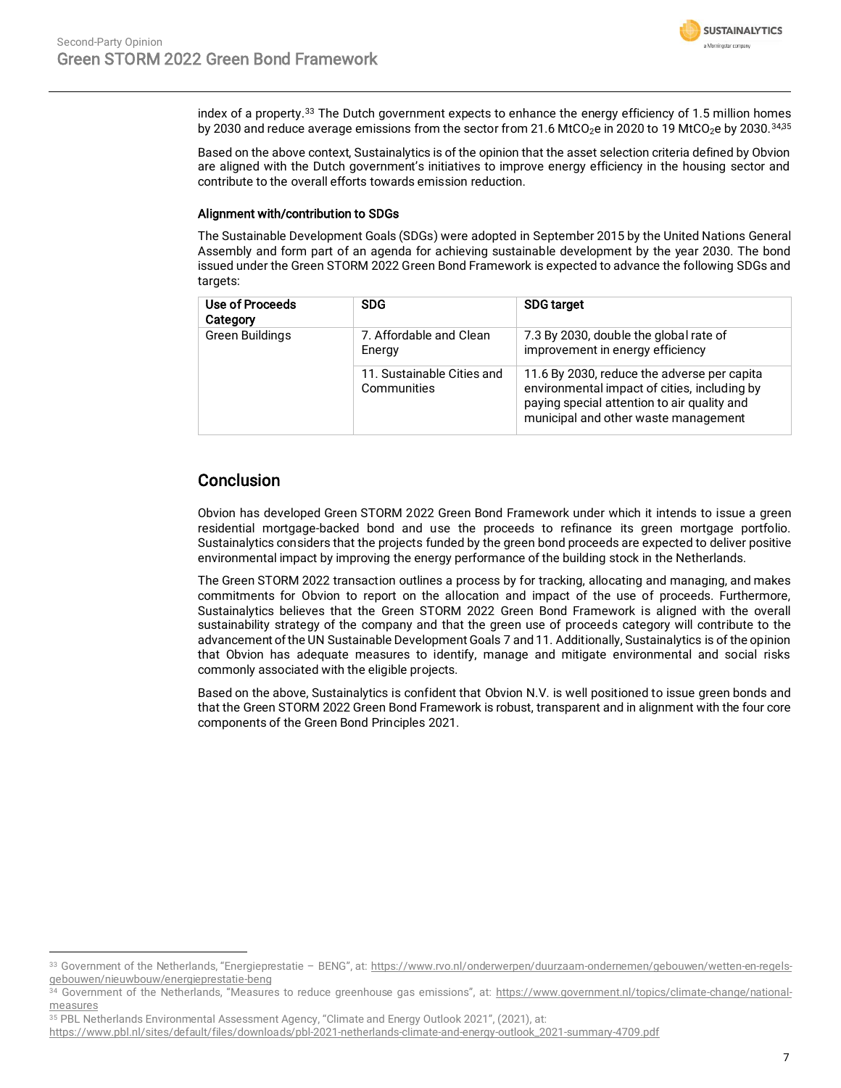

index of a property.<sup>33</sup> The Dutch government expects to enhance the energy efficiency of 1.5 million homes by 2030 and reduce average emissions from the sector from 21.6 MtCO<sub>2</sub>e in 2020 to 19 MtCO<sub>2</sub>e by 2030.<sup>34,35</sup>

Based on the above context, Sustainalytics is of the opinion that the asset selection criteria defined by Obvion are aligned with the Dutch government's initiatives to improve energy efficiency in the housing sector and contribute to the overall efforts towards emission reduction.

#### Alignment with/contribution to SDGs

The Sustainable Development Goals (SDGs) were adopted in September 2015 by the United Nations General Assembly and form part of an agenda for achieving sustainable development by the year 2030. The bond issued under the Green STORM 2022 Green Bond Framework is expected to advance the following SDGs and targets:

| Use of Proceeds<br>Category | <b>SDG</b>                                | <b>SDG</b> target                                                                                                                                                                  |
|-----------------------------|-------------------------------------------|------------------------------------------------------------------------------------------------------------------------------------------------------------------------------------|
| <b>Green Buildings</b>      | 7. Affordable and Clean<br>Energy         | 7.3 By 2030, double the global rate of<br>improvement in energy efficiency                                                                                                         |
|                             | 11. Sustainable Cities and<br>Communities | 11.6 By 2030, reduce the adverse per capita<br>environmental impact of cities, including by<br>paying special attention to air quality and<br>municipal and other waste management |

### Conclusion

Obvion has developed Green STORM 2022 Green Bond Framework under which it intends to issue a green residential mortgage-backed bond and use the proceeds to refinance its green mortgage portfolio. Sustainalytics considers that the projects funded by the green bond proceeds are expected to deliver positive environmental impact by improving the energy performance of the building stock in the Netherlands.

The Green STORM 2022 transaction outlines a process by for tracking, allocating and managing, and makes commitments for Obvion to report on the allocation and impact of the use of proceeds. Furthermore, Sustainalytics believes that the Green STORM 2022 Green Bond Framework is aligned with the overall sustainability strategy of the company and that the green use of proceeds category will contribute to the advancement of the UN Sustainable Development Goals 7 and 11. Additionally, Sustainalytics is of the opinion that Obvion has adequate measures to identify, manage and mitigate environmental and social risks commonly associated with the eligible projects.

Based on the above, Sustainalytics is confident that Obvion N.V. is well positioned to issue green bonds and that the Green STORM 2022 Green Bond Framework is robust, transparent and in alignment with the four core components of the Green Bond Principles 2021.

**SUSTAINALYTICS** a Morninostar company

<span id="page-6-0"></span><sup>33</sup> Government of the Netherlands, "Energieprestatie - BENG", at: https://www.rvo.nl/onderwerpen/duurzaam-ondernemen/gebouwen/wetten-en-regelsgebouwen/nieuwbouw/energieprestatie-beng

<sup>34</sup> Government of the Netherlands, "Measures to reduce greenhouse gas emissions", at: https://www.government.nl/topics/climate-change/nationalmeasures

<sup>35</sup> PBL Netherlands Environmental Assessment Agency, "Climate and Energy Outlook 2021", (2021), at:

https://www.pbl.nl/sites/default/files/downloads/pbl-2021-netherlands-climate-and-energy-outlook\_2021-summary-4709.pdf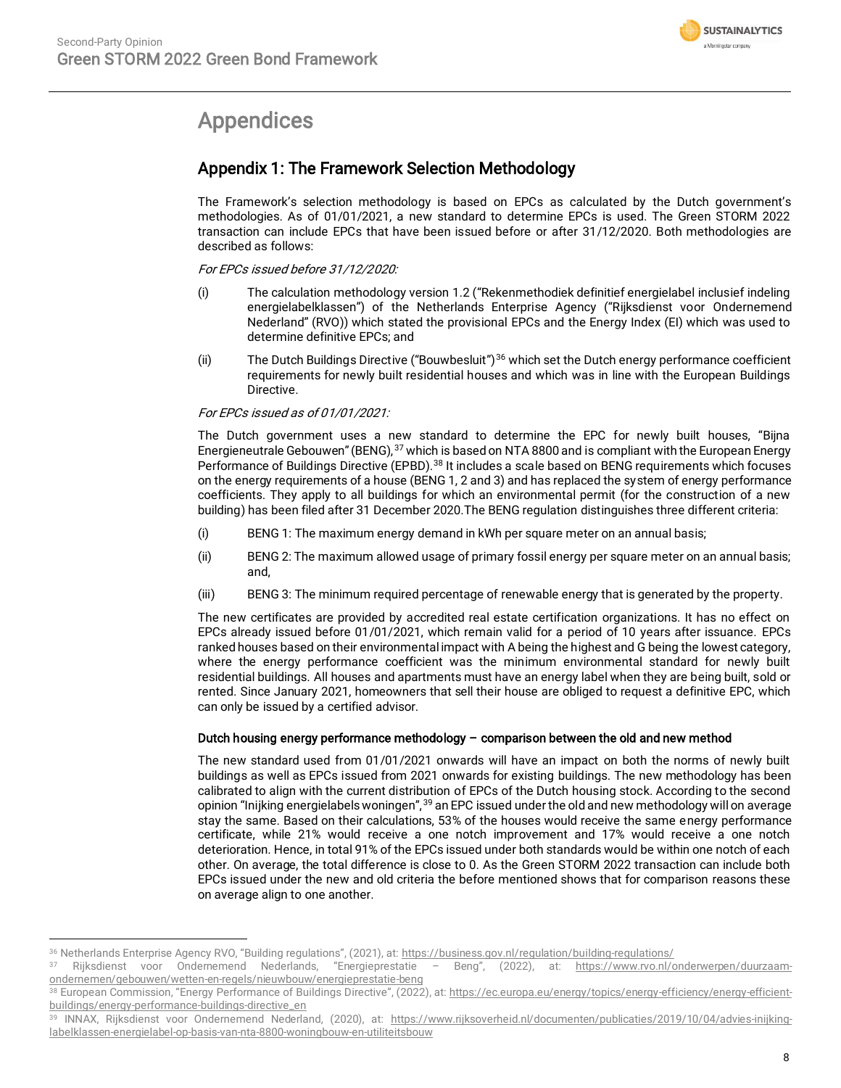

## Appendices

## Appendix 1: The Framework Selection Methodology

The Framework's selection methodology is based on EPCs as calculated by the Dutch government's methodologies. As of 01/01/2021, a new standard to determine EPCs is used. The Green STORM 2022 transaction can include EPCs that have been issued before or after 31/12/2020. Both methodologies are described as follows:

For EPCs issued before 31/12/2020:

- (i) The calculation methodology version 1.2 ("Rekenmethodiek definitief energielabel inclusief indeling energielabelklassen") of the Netherlands Enterprise Agency ("Rijksdienst voor Ondernemend Nederland" (RVO)) which stated the provisional EPCs and the Energy Index (EI) which was used to determine definitive EPCs; and
- (ii) The Dutch Buildings Directive ("Bouwbesluit")<sup>36</sup> which set the Dutch energy performance coefficient requirements for newly built residential houses and which was in line with the European Buildings Directive.

For EPCs issued as of 01/01/2021:

The Dutch government uses a new standard to determine the EPC for newly built houses, "Bijna Energieneutrale Gebouwen" (BENG), <sup>37</sup> which is based on NTA 8800 and is compliant with the European Energy Performance of Buildings Directive (EPBD).<sup>38</sup> It includes a scale based on BENG requirements which focuses on the energy requirements of a house (BENG 1, 2 and 3) and has replaced the system of energy performance coefficients. They apply to all buildings for which an environmental permit (for the construction of a new building) has been filed after 31 December 2020.The BENG regulation distinguishes three different criteria:

- (i) BENG 1: The maximum energy demand in kWh per square meter on an annual basis;
- (ii) BENG 2: The maximum allowed usage of primary fossil energy per square meter on an annual basis; and,
- (iii) BENG 3: The minimum required percentage of renewable energy that is generated by the property.

The new certificates are provided by accredited real estate certification organizations. It has no effect on EPCs already issued before 01/01/2021, which remain valid for a period of 10 years after issuance. EPCs ranked houses based on their environmental impact with A being the highest and G being the lowest category, where the energy performance coefficient was the minimum environmental standard for newly built residential buildings. All houses and apartments must have an energy label when they are being built, sold or rented. Since January 2021, homeowners that sell their house are obliged to request a definitive EPC, which can only be issued by a certified advisor.

### Dutch housing energy performance methodology – comparison between the old and new method

The new standard used from 01/01/2021 onwards will have an impact on both the norms of newly built buildings as well as EPCs issued from 2021 onwards for existing buildings. The new methodology has been calibrated to align with the current distribution of EPCs of the Dutch housing stock. According to the second opinion "Inijking energielabels woningen", <sup>39</sup> an EPC issued under the old and new methodology will on average stay the same. Based on their calculations, 53% of the houses would receive the same energy performance certificate, while 21% would receive a one notch improvement and 17% would receive a one notch deterioration. Hence, in total 91% of the EPCs issued under both standards would be within one notch of each other. On average, the total difference is close to 0. As the Green STORM 2022 transaction can include both EPCs issued under the new and old criteria the before mentioned shows that for comparison reasons these on average align to one another.

<sup>&</sup>lt;sup>36</sup> Netherlands Enterprise Agency RVO, "Building regulations", (2021), at: <https://business.gov.nl/regulation/building-regulations/><br><sup>37</sup> Piikedienst Wort Ondernamend Nederlands "Energienrestatie – Beng" (2022), at: https:

<sup>37</sup> Rijksdienst voor Ondernemend Nederlands, "Energieprestatie – Beng", (2022), at: [https://www.rvo.nl/onderwerpen/duurzaam](https://www.rvo.nl/onderwerpen/duurzaam-ondernemen/gebouwen/wetten-en-regels/nieuwbouw/energieprestatie-beng)[ondernemen/gebouwen/wetten-en-regels/nieuwbouw/energieprestatie-beng](https://www.rvo.nl/onderwerpen/duurzaam-ondernemen/gebouwen/wetten-en-regels/nieuwbouw/energieprestatie-beng)

<sup>38</sup> European Commission, "Energy Performance of Buildings Directive", (2022), at[: https://ec.europa.eu/energy/topics/energy-efficiency/energy-efficient](https://ec.europa.eu/energy/topics/energy-efficiency/energy-efficient-buildings/energy-performance-buildings-directive_en)[buildings/energy-performance-buildings-directive\\_en](https://ec.europa.eu/energy/topics/energy-efficiency/energy-efficient-buildings/energy-performance-buildings-directive_en)

<sup>39</sup> INNAX, Rijksdienst voor Ondernemend Nederland, (2020), at: [https://www.rijksoverheid.nl/documenten/publicaties/2019/10/04/advies-inijking](https://www.rijksoverheid.nl/documenten/publicaties/2019/10/04/advies-inijking-labelklassen-energielabel-op-basis-van-nta-8800-woningbouw-en-utiliteitsbouw)[labelklassen-energielabel-op-basis-van-nta-8800-woningbouw-en-utiliteitsbouw](https://www.rijksoverheid.nl/documenten/publicaties/2019/10/04/advies-inijking-labelklassen-energielabel-op-basis-van-nta-8800-woningbouw-en-utiliteitsbouw)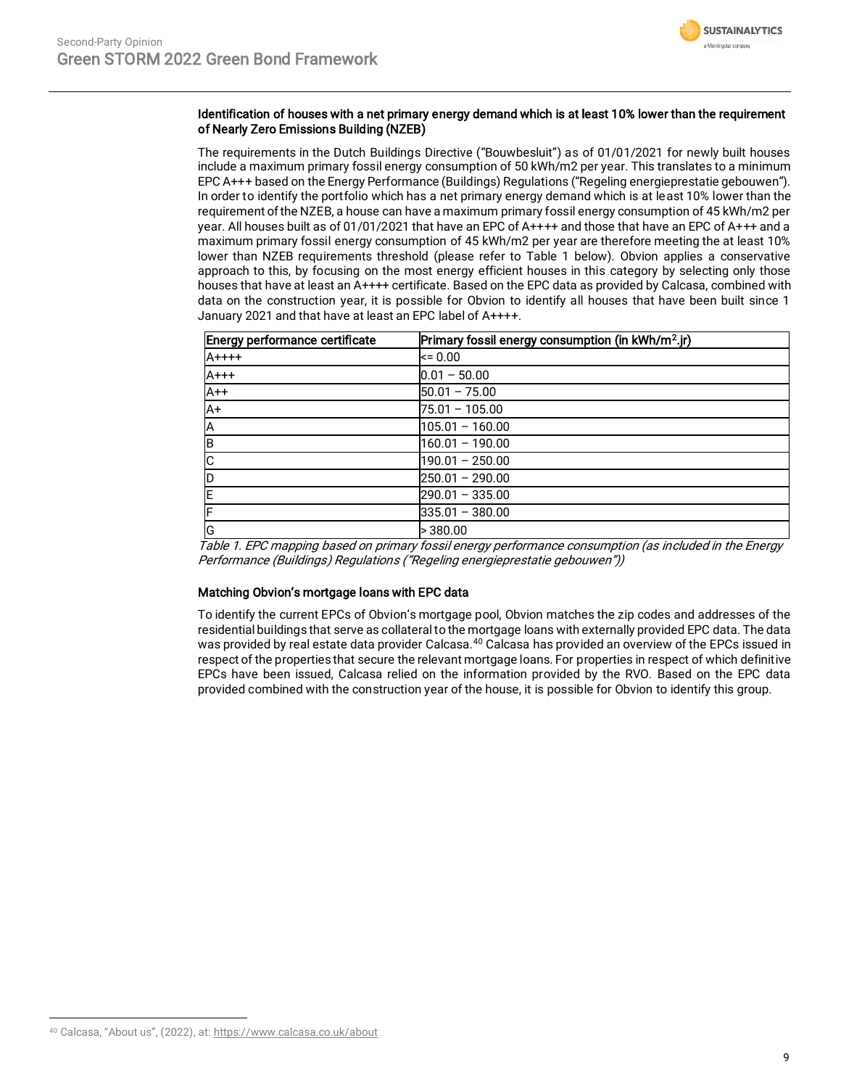

### Identification of houses with a net primary energy demand which is at least 10% lower than the requirement of Nearly Zero Emissions Building (NZEB)

The requirements in the Dutch Buildings Directive ("Bouwbesluit") as of 01/01/2021 for newly built houses include a maximum primary fossil energy consumption of 50 kWh/m2 per year. This translates to a minimum EPC A+++ based on the Energy Performance (Buildings) Regulations ("Regeling energieprestatie gebouwen"). In order to identify the portfolio which has a net primary energy demand which is at least 10% lower than the requirement of the NZEB, a house can have a maximum primary fossil energy consumption of 45 kWh/m2 per year. All houses built as of 01/01/2021 that have an EPC of A++++ and those that have an EPC of A+++ and a maximum primary fossil energy consumption of 45 kWh/m2 per year are therefore meeting the at least 10% lower than NZEB requirements threshold (please refer to Table 1 below). Obvion applies a conservative approach to this, by focusing on the most energy efficient houses in this category by selecting only those houses that have at least an A++++ certificate. Based on the EPC data as provided by Calcasa, combined with data on the construction year, it is possible for Obvion to identify all houses that have been built since 1 January 2021 and that have at least an EPC label of A++++.

| Energy performance certificate | Primary fossil energy consumption (in kWh/m <sup>2</sup> .jr) |
|--------------------------------|---------------------------------------------------------------|
| $A + + + +$                    | $= 0.00$                                                      |
| $A+++$                         | $0.01 - 50.00$                                                |
| $A++$                          | $50.01 - 75.00$                                               |
| $A+$                           | 75.01 - 105.00                                                |
| İΑ                             | $105.01 - 160.00$                                             |
| ΙB                             | $160.01 - 190.00$                                             |
| Iс                             | $190.01 - 250.00$                                             |
| <b>D</b>                       | $250.01 - 290.00$                                             |
| İΕ                             | $290.01 - 335.00$                                             |
| IF                             | $335.01 - 380.00$                                             |
| G                              | >380.00                                                       |

Table 1. EPC mapping based on primary fossil energy performance consumption (as included in the Energy Performance (Buildings) Regulations ("Regeling energieprestatie gebouwen"))

### Matching Obvion's mortgage loans with EPC data

To identify the current EPCs of Obvion's mortgage pool, Obvion matches the zip codes and addresses of the residential buildings that serve as collateral to the mortgage loans with externally provided EPC data. The data was provided by real estate data provider Calcasa.<sup>40</sup> Calcasa has provided an overview of the EPCs issued in respect of the properties that secure the relevant mortgage loans. For properties in respect of which definitive EPCs have been issued, Calcasa relied on the information provided by the RVO. Based on the EPC data provided combined with the construction year of the house, it is possible for Obvion to identify this group.

<sup>40</sup> Calcasa, "About us", (2022), at: <https://www.calcasa.co.uk/about>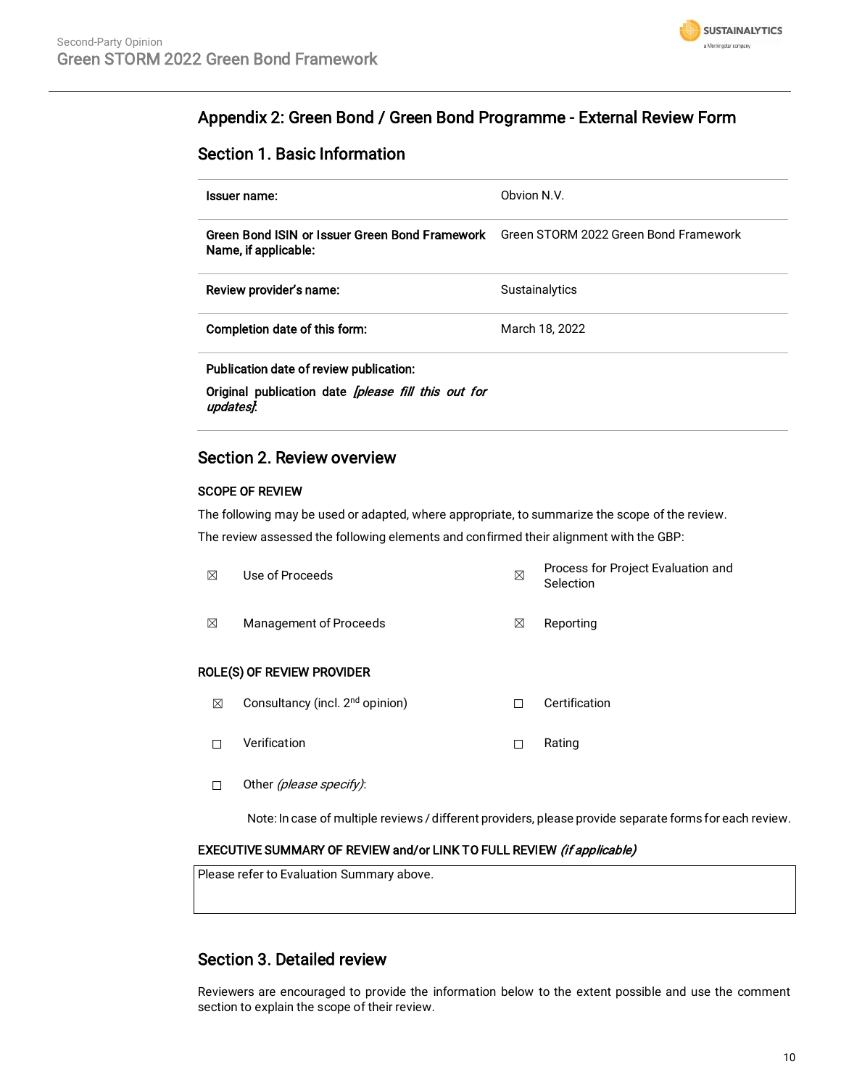

## Appendix 2: Green Bond / Green Bond Programme - External Review Form

### Section 1. Basic Information

| Issuer name:                                                                                                       | Obvion N.V.    |
|--------------------------------------------------------------------------------------------------------------------|----------------|
| Green Bond ISIN or Issuer Green Bond Framework Green STORM 2022 Green Bond Framework<br>Name, if applicable:       |                |
| Review provider's name:                                                                                            | Sustainalytics |
| Completion date of this form:                                                                                      | March 18, 2022 |
| Publication date of review publication:<br>Original publication date <i>[please fill this out for</i><br>updates}. |                |

### Section 2. Review overview

### SCOPE OF REVIEW

The following may be used or adapted, where appropriate, to summarize the scope of the review.

The review assessed the following elements and confirmed their alignment with the GBP:

| ⊠ | Use of Proceeds                             | $\boxtimes$ | Process for Project Evaluation and<br>Selection |
|---|---------------------------------------------|-------------|-------------------------------------------------|
| ⊠ | <b>Management of Proceeds</b>               | ⊠           | Reporting                                       |
|   | ROLE(S) OF REVIEW PROVIDER                  |             |                                                 |
| ⊠ | Consultancy (incl. 2 <sup>nd</sup> opinion) | П           | Certification                                   |
|   | Verification                                | г           | Rating                                          |

□ Other (please specify):

Note: In case of multiple reviews / different providers, please provide separate forms for each review.

### EXECUTIVE SUMMARY OF REVIEW and/or LINK TO FULL REVIEW (if applicable)

Please refer to Evaluation Summary above.

### Section 3. Detailed review

Reviewers are encouraged to provide the information below to the extent possible and use the comment section to explain the scope of their review.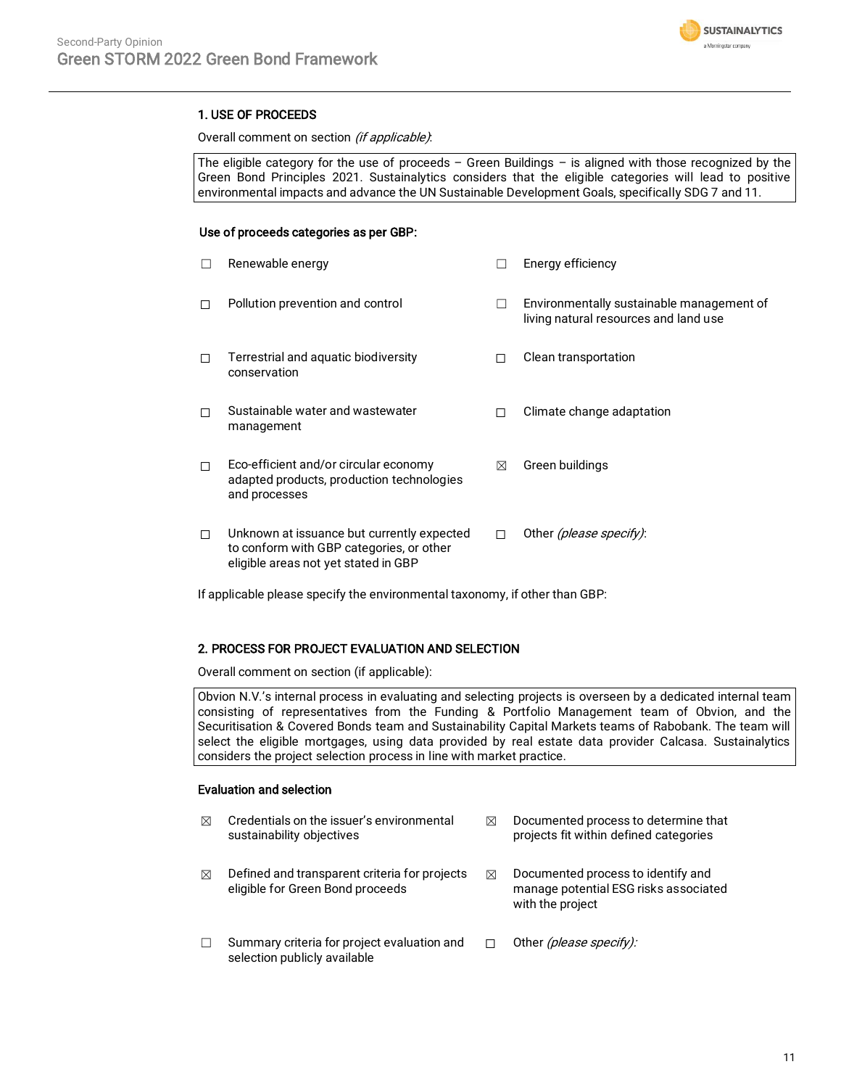

### 1. USE OF PROCEEDS

Overall comment on section (if applicable):

The eligible category for the use of proceeds  $-$  Green Buildings  $-$  is aligned with those recognized by the Green Bond Principles 2021. Sustainalytics considers that the eligible categories will lead to positive environmental impacts and advance the UN Sustainable Development Goals, specifically SDG 7 and 11.

### Use of proceeds categories as per GBP:

|   | Renewable energy                                                                                                               |   | Energy efficiency                                                                  |
|---|--------------------------------------------------------------------------------------------------------------------------------|---|------------------------------------------------------------------------------------|
| П | Pollution prevention and control                                                                                               |   | Environmentally sustainable management of<br>living natural resources and land use |
| П | Terrestrial and aquatic biodiversity<br>conservation                                                                           | П | Clean transportation                                                               |
| П | Sustainable water and wastewater<br>management                                                                                 |   | Climate change adaptation                                                          |
| П | Eco-efficient and/or circular economy<br>adapted products, production technologies<br>and processes                            | ⊠ | Green buildings                                                                    |
| П | Unknown at issuance but currently expected<br>to conform with GBP categories, or other<br>eligible areas not yet stated in GBP | п | Other (please specify):                                                            |

If applicable please specify the environmental taxonomy, if other than GBP:

### 2. PROCESS FOR PROJECT EVALUATION AND SELECTION

Overall comment on section (if applicable):

Obvion N.V.'s internal process in evaluating and selecting projects is overseen by a dedicated internal team consisting of representatives from the Funding & Portfolio Management team of Obvion, and the Securitisation & Covered Bonds team and Sustainability Capital Markets teams of Rabobank. The team will select the eligible mortgages, using data provided by real estate data provider Calcasa. Sustainalytics considers the project selection process in line with market practice.

### Evaluation and selection

| ⊠ | Credentials on the issuer's environmental<br>sustainability objectives            | ⊠ | Documented process to determine that<br>projects fit within defined categories                  |
|---|-----------------------------------------------------------------------------------|---|-------------------------------------------------------------------------------------------------|
| ⊠ | Defined and transparent criteria for projects<br>eligible for Green Bond proceeds | ⊠ | Documented process to identify and<br>manage potential ESG risks associated<br>with the project |
|   | Summary criteria for project evaluation and<br>selection publicly available       |   | Other (please specify):                                                                         |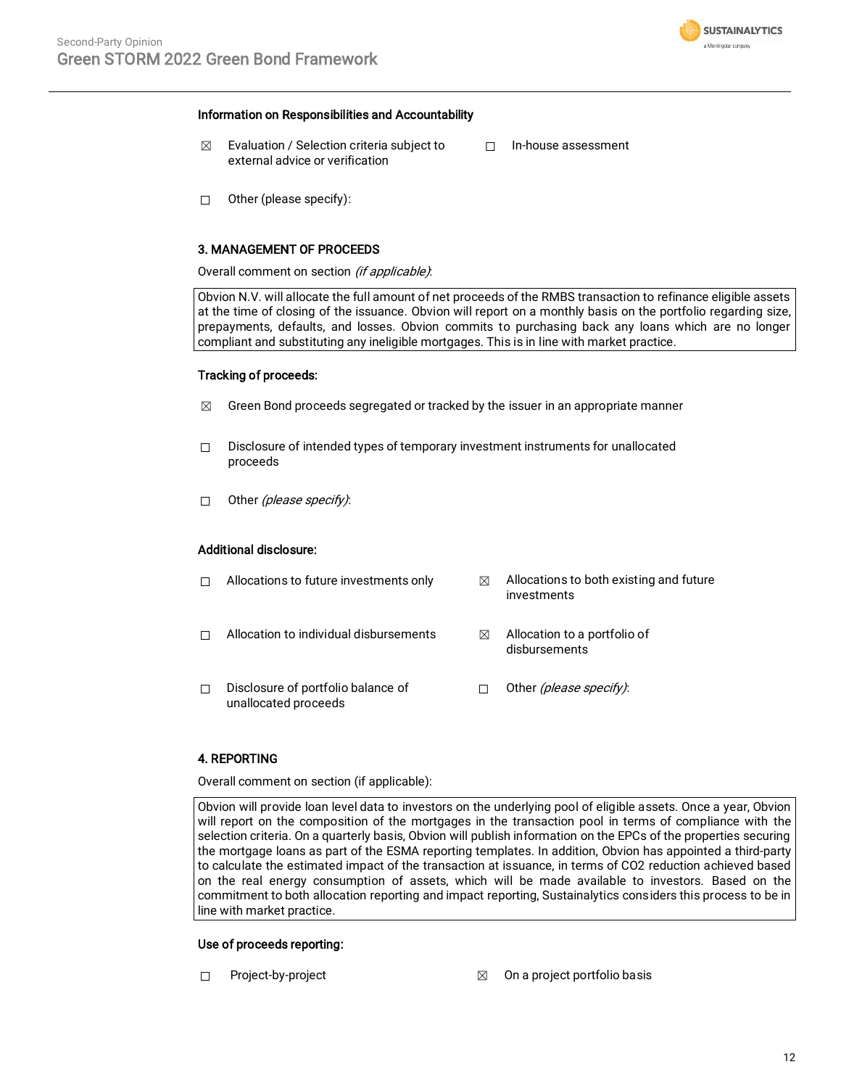

#### Information on Responsibilities and Accountability

- $\boxtimes$  Evaluation / Selection criteria subject to external advice or verification
- ☐ In-house assessment

 $\Box$  Other (please specify):

### 3. MANAGEMENT OF PROCEEDS

Overall comment on section (if applicable):

Obvion N.V. will allocate the full amount of net proceeds of the RMBS transaction to refinance eligible assets at the time of closing of the issuance. Obvion will report on a monthly basis on the portfolio regarding size, prepayments, defaults, and losses. Obvion commits to purchasing back any loans which are no longer compliant and substituting any ineligible mortgages. This is in line with market practice.

### Tracking of proceeds:

- $\boxtimes$  Green Bond proceeds segregated or tracked by the issuer in an appropriate manner
- ☐ Disclosure of intended types of temporary investment instruments for unallocated proceeds
- □ Other *(please specify)*:

#### Additional disclosure:

|   | Allocations to future investments only                     | ⊠ | Allocations to both existing and future<br>investments |
|---|------------------------------------------------------------|---|--------------------------------------------------------|
|   | Allocation to individual disbursements                     | ⊠ | Allocation to a portfolio of<br>disbursements          |
| П | Disclosure of portfolio balance of<br>unallocated proceeds |   | Other (please specify):                                |

### 4. REPORTING

Overall comment on section (if applicable):

Obvion will provide loan level data to investors on the underlying pool of eligible assets. Once a year, Obvion will report on the composition of the mortgages in the transaction pool in terms of compliance with the selection criteria. On a quarterly basis, Obvion will publish information on the EPCs of the properties securing the mortgage loans as part of the ESMA reporting templates. In addition, Obvion has appointed a third-party to calculate the estimated impact of the transaction at issuance, in terms of CO2 reduction achieved based on the real energy consumption of assets, which will be made available to investors. Based on the commitment to both allocation reporting and impact reporting, Sustainalytics considers this process to be in line with market practice.

### Use of proceeds reporting:

- 
- ☐ Project-by-project ☒ On a project portfolio basis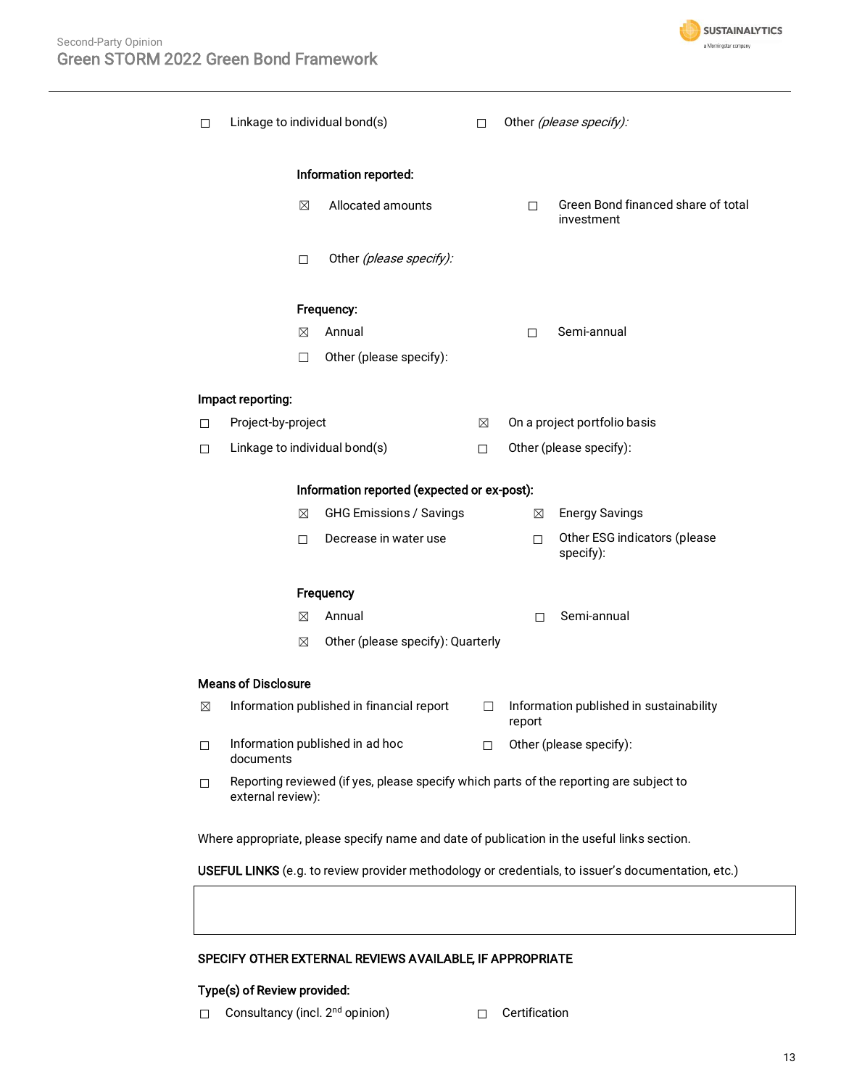

| п | Linkage to individual bond(s) |                                             | П  |        | Other (please specify):                          |
|---|-------------------------------|---------------------------------------------|----|--------|--------------------------------------------------|
|   |                               | Information reported:                       |    |        |                                                  |
|   | $\boxtimes$                   | Allocated amounts                           |    | П.     | Green Bond financed share of total<br>investment |
|   | $\Box$                        | Other (please specify):                     |    |        |                                                  |
|   |                               | Frequency:                                  |    |        |                                                  |
|   | ⊠                             | Annual                                      |    | п      | Semi-annual                                      |
|   | $\Box$                        | Other (please specify):                     |    |        |                                                  |
|   | Impact reporting:             |                                             |    |        |                                                  |
| □ | Project-by-project            |                                             | ⊠  |        | On a project portfolio basis                     |
| □ | Linkage to individual bond(s) |                                             | □  |        | Other (please specify):                          |
|   |                               |                                             |    |        |                                                  |
|   |                               | Information reported (expected or ex-post): |    |        |                                                  |
|   | ⊠                             | GHG Emissions / Savings                     |    | ⊠      | <b>Energy Savings</b>                            |
|   | П.                            | Decrease in water use                       |    | $\Box$ | Other ESG indicators (please<br>specify):        |
|   |                               | Frequency                                   |    |        |                                                  |
|   | ⊠                             | Annual                                      |    | п      | Semi-annual                                      |
|   | ⊠                             | Other (please specify): Quarterly           |    |        |                                                  |
|   | <b>Means of Disclosure</b>    |                                             |    |        |                                                  |
| ⊠ |                               | Information published in financial report   | □  | report | Information published in sustainability          |
| 0 | documents                     | Information published in ad hoc             | П. |        | Other (please specify):                          |
|   |                               |                                             |    |        |                                                  |

Where appropriate, please specify name and date of publication in the useful links section.

USEFUL LINKS (e.g. to review provider methodology or credentials, to issuer's documentation, etc.)

### SPECIFY OTHER EXTERNAL REVIEWS AVAILABLE, IF APPROPRIATE

### Type(s) of Review provided:

- ☐ Consultancy (incl. 2nd opinion) ☐ Certification
	-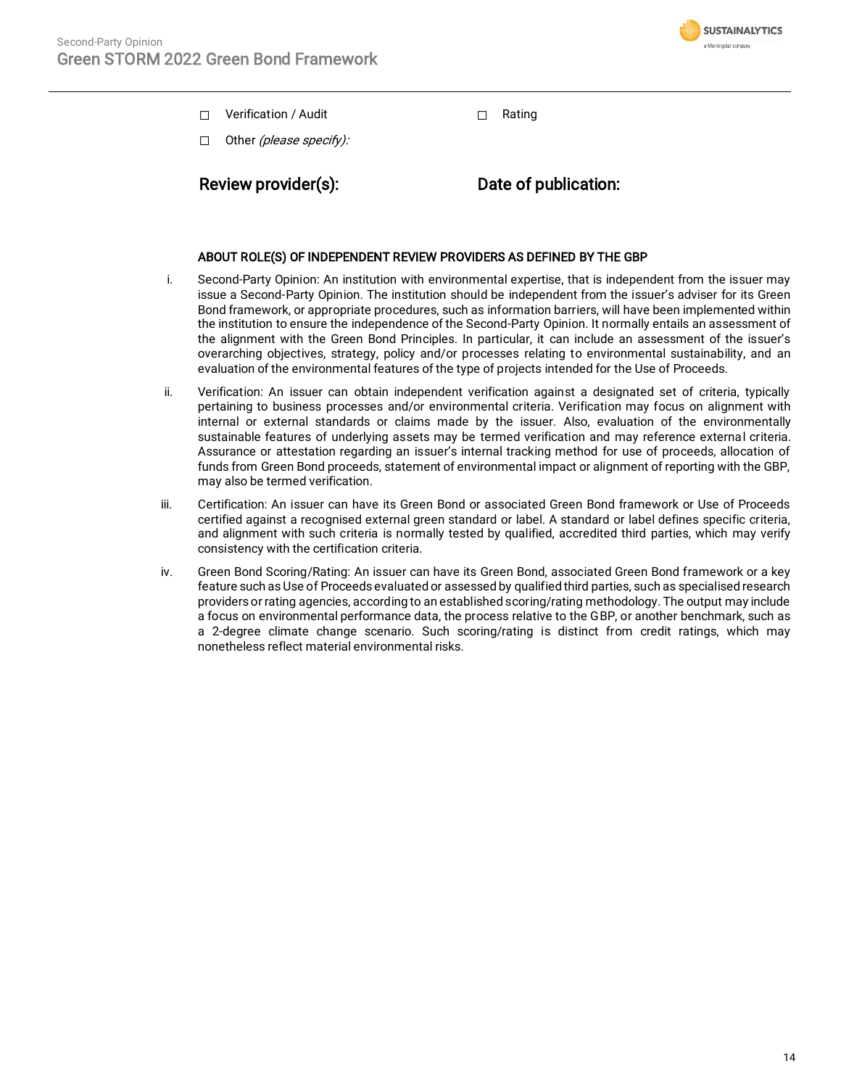

☐ Verification / Audit ☐ Rating

 $\Box$  Other *(please specify):* 

Review provider(s): Date of publication:

### ABOUT ROLE(S) OF INDEPENDENT REVIEW PROVIDERS AS DEFINED BY THE GBP

- i. Second-Party Opinion: An institution with environmental expertise, that is independent from the issuer may issue a Second-Party Opinion. The institution should be independent from the issuer's adviser for its Green Bond framework, or appropriate procedures, such as information barriers, will have been implemented within the institution to ensure the independence of the Second-Party Opinion. It normally entails an assessment of the alignment with the Green Bond Principles. In particular, it can include an assessment of the issuer's overarching objectives, strategy, policy and/or processes relating to environmental sustainability, and an evaluation of the environmental features of the type of projects intended for the Use of Proceeds.
- ii. Verification: An issuer can obtain independent verification against a designated set of criteria, typically pertaining to business processes and/or environmental criteria. Verification may focus on alignment with internal or external standards or claims made by the issuer. Also, evaluation of the environmentally sustainable features of underlying assets may be termed verification and may reference external criteria. Assurance or attestation regarding an issuer's internal tracking method for use of proceeds, allocation of funds from Green Bond proceeds, statement of environmental impact or alignment of reporting with the GBP, may also be termed verification.
- iii. Certification: An issuer can have its Green Bond or associated Green Bond framework or Use of Proceeds certified against a recognised external green standard or label. A standard or label defines specific criteria, and alignment with such criteria is normally tested by qualified, accredited third parties, which may verify consistency with the certification criteria.
- iv. Green Bond Scoring/Rating: An issuer can have its Green Bond, associated Green Bond framework or a key feature such as Use of Proceeds evaluated or assessed by qualified third parties, such as specialised research providers or rating agencies, according to an established scoring/rating methodology. The output may include a focus on environmental performance data, the process relative to the GBP, or another benchmark, such as a 2-degree climate change scenario. Such scoring/rating is distinct from credit ratings, which may nonetheless reflect material environmental risks.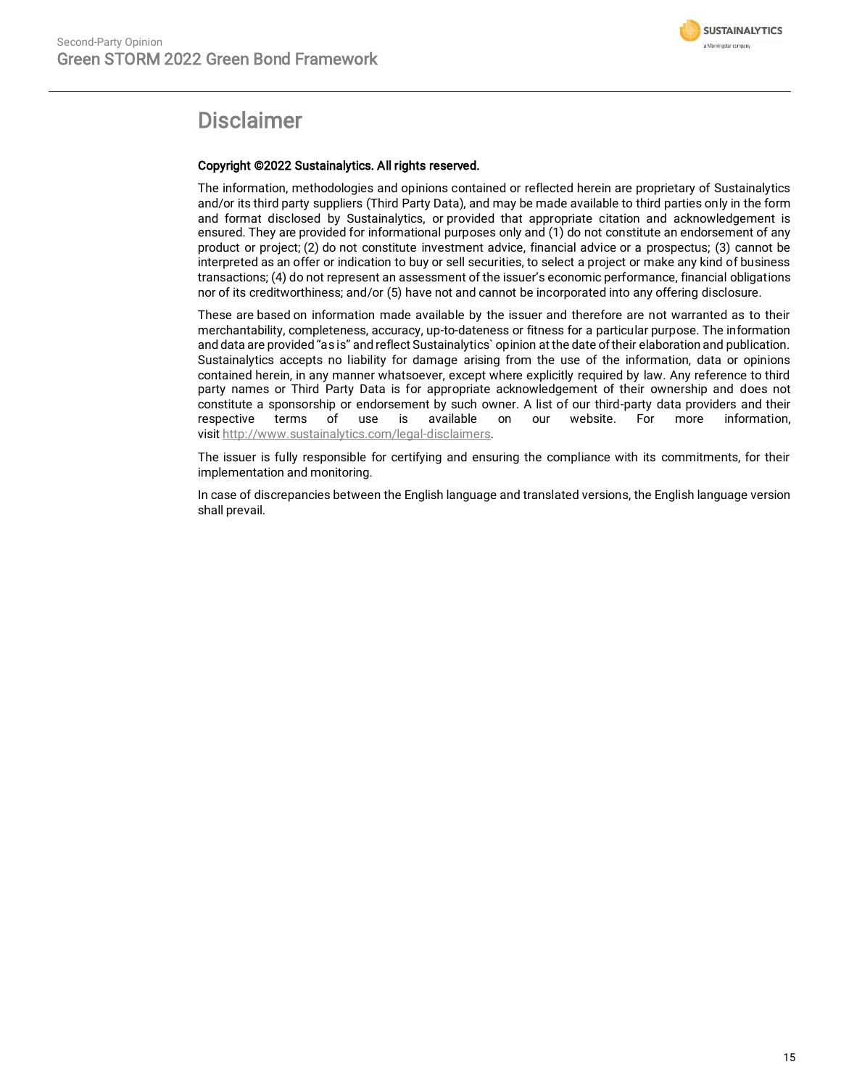

## Disclaimer

### Copyright ©2022 Sustainalytics. All rights reserved.

The information, methodologies and opinions contained or reflected herein are proprietary of Sustainalytics and/or its third party suppliers (Third Party Data), and may be made available to third parties only in the form and format disclosed by Sustainalytics, or provided that appropriate citation and acknowledgement is ensured. They are provided for informational purposes only and (1) do not constitute an endorsement of any product or project; (2) do not constitute investment advice, financial advice or a prospectus; (3) cannot be interpreted as an offer or indication to buy or sell securities, to select a project or make any kind of business transactions; (4) do not represent an assessment of the issuer's economic performance, financial obligations nor of its creditworthiness; and/or (5) have not and cannot be incorporated into any offering disclosure.

These are based on information made available by the issuer and therefore are not warranted as to their merchantability, completeness, accuracy, up-to-dateness or fitness for a particular purpose. The information and data are provided "as is" and reflect Sustainalytics` opinion at the date of their elaboration and publication. Sustainalytics accepts no liability for damage arising from the use of the information, data or opinions contained herein, in any manner whatsoever, except where explicitly required by law. Any reference to third party names or Third Party Data is for appropriate acknowledgement of their ownership and does not constitute a sponsorship or endorsement by such owner. A list of our third-party data providers and their respective terms of use is available on our website. For more information, visit [http://www.sustainalytics.com/legal-disclaimers.](http://www.sustainalytics.com/legal-disclaimers)

The issuer is fully responsible for certifying and ensuring the compliance with its commitments, for their implementation and monitoring.

In case of discrepancies between the English language and translated versions, the English language version shall prevail.